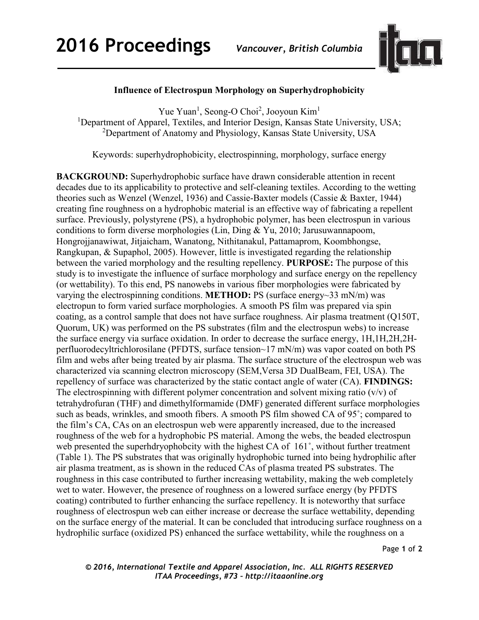

## **Influence of Electrospun Morphology on Superhydrophobicity**

Yue Yuan<sup>1</sup>, Seong-O Choi<sup>2</sup>, Jooyoun Kim<sup>1</sup> <sup>1</sup>Department of Apparel, Textiles, and Interior Design, Kansas State University, USA; <sup>2</sup>Department of Anatomy and Physiology, Kansas State University, USA

Keywords: superhydrophobicity, electrospinning, morphology, surface energy

**BACKGROUND:** Superhydrophobic surface have drawn considerable attention in recent decades due to its applicability to protective and self-cleaning textiles. According to the wetting theories such as Wenzel (Wenzel, 1936) and Cassie-Baxter models (Cassie & Baxter, 1944) creating fine roughness on a hydrophobic material is an effective way of fabricating a repellent surface. Previously, polystyrene (PS), a hydrophobic polymer, has been electrospun in various conditions to form diverse morphologies (Lin, Ding & Yu, 2010; Jarusuwannapoom, Hongrojjanawiwat, Jitjaicham, Wanatong, Nithitanakul, Pattamaprom, Koombhongse, Rangkupan, & Supaphol, 2005). However, little is investigated regarding the relationship between the varied morphology and the resulting repellency. **PURPOSE:** The purpose of this study is to investigate the influence of surface morphology and surface energy on the repellency (or wettability). To this end, PS nanowebs in various fiber morphologies were fabricated by varying the electrospinning conditions. **METHOD:** PS (surface energy~33 mN/m) was electropun to form varied surface morphologies. A smooth PS film was prepared via spin coating, as a control sample that does not have surface roughness. Air plasma treatment (Q150T, Quorum, UK) was performed on the PS substrates (film and the electrospun webs) to increase the surface energy via surface oxidation. In order to decrease the surface energy, 1H,1H,2H,2Hperfluorodecyltrichlorosilane (PFDTS, surface tension~17 mN/m) was vapor coated on both PS film and webs after being treated by air plasma. The surface structure of the electrospun web was characterized via scanning electron microscopy (SEM,Versa 3D DualBeam, FEI, USA). The repellency of surface was characterized by the static contact angle of water (CA). **FINDINGS:** The electrospinning with different polymer concentration and solvent mixing ratio  $(v/v)$  of tetrahydrofuran (THF) and dimethylformamide (DMF) generated different surface morphologies such as beads, wrinkles, and smooth fibers. A smooth PS film showed CA of 95˚; compared to the film's CA, CAs on an electrospun web were apparently increased, due to the increased roughness of the web for a hydrophobic PS material. Among the webs, the beaded electrospun web presented the superhdryophobcity with the highest CA of 161˚, without further treatment (Table 1). The PS substrates that was originally hydrophobic turned into being hydrophilic after air plasma treatment, as is shown in the reduced CAs of plasma treated PS substrates. The roughness in this case contributed to further increasing wettability, making the web completely wet to water. However, the presence of roughness on a lowered surface energy (by PFDTS coating) contributed to further enhancing the surface repellency. It is noteworthy that surface roughness of electrospun web can either increase or decrease the surface wettability, depending on the surface energy of the material. It can be concluded that introducing surface roughness on a hydrophilic surface (oxidized PS) enhanced the surface wettability, while the roughness on a

Page **1** of **2** 

*© 2016, International Textile and Apparel Association, Inc. ALL RIGHTS RESERVED ITAA Proceedings, #73 – http://itaaonline.org*